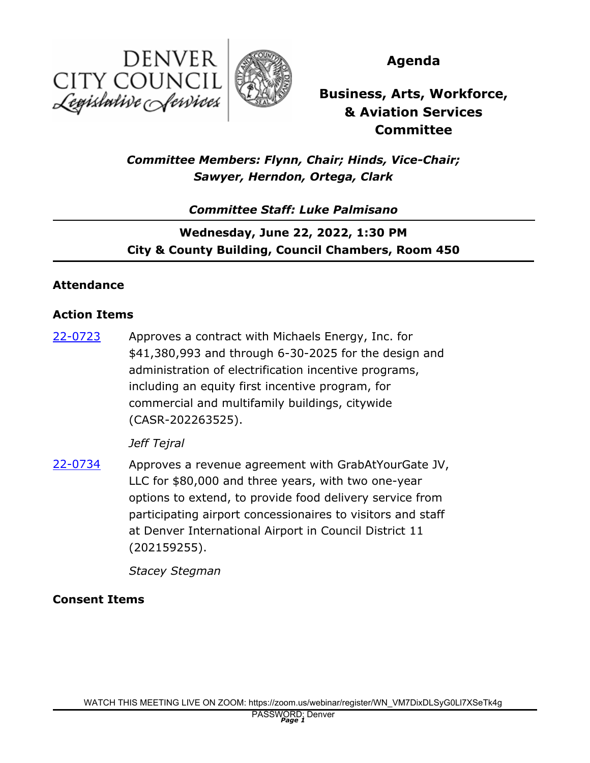



**Agenda**

**Business, Arts, Workforce, & Aviation Services Committee**

# *Committee Members: Flynn, Chair; Hinds, Vice-Chair; Sawyer, Herndon, Ortega, Clark*

## *Committee Staff: Luke Palmisano*

# **Wednesday, June 22, 2022, 1:30 PM City & County Building, Council Chambers, Room 450**

### **Attendance**

### **Action Items**

Approves a contract with Michaels Energy, Inc. for \$41,380,993 and through 6-30-2025 for the design and administration of electrification incentive programs, including an equity first incentive program, for commercial and multifamily buildings, citywide (CASR-202263525). [22-0723](http://denver.legistar.com/gateway.aspx?m=l&id=/matter.aspx?key=21790)

#### *Jeff Tejral*

Approves a revenue agreement with GrabAtYourGate JV, LLC for \$80,000 and three years, with two one-year options to extend, to provide food delivery service from participating airport concessionaires to visitors and staff at Denver International Airport in Council District 11 (202159255). [22-0734](http://denver.legistar.com/gateway.aspx?m=l&id=/matter.aspx?key=21801)

*Stacey Stegman*

### **Consent Items**